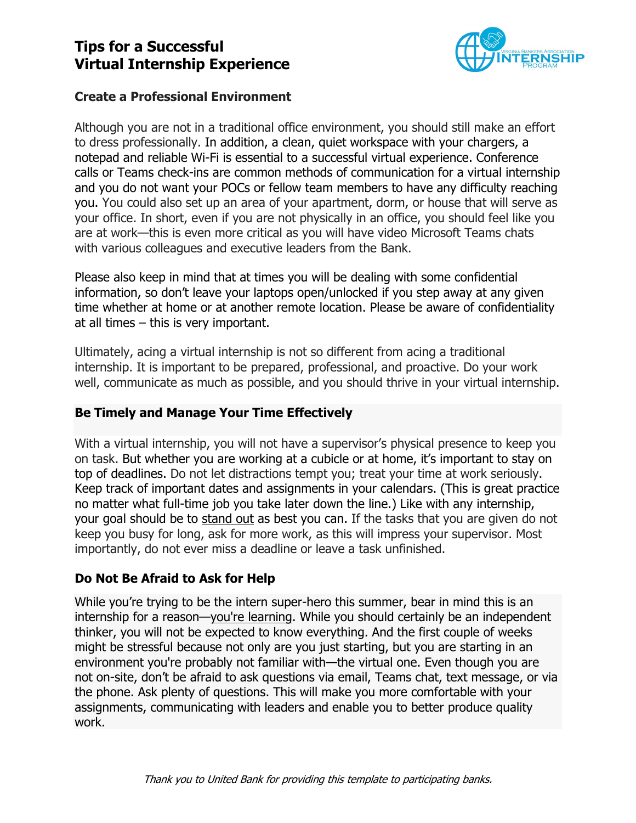# **Tips for a Successful Virtual Internship Experience**



### **Create a Professional Environment**

Although you are not in a traditional office environment, you should still make an effort to dress professionally. In addition, a clean, quiet workspace with your chargers, a notepad and reliable Wi-Fi is essential to a successful virtual experience. Conference calls or Teams check-ins are common methods of communication for a virtual internship and you do not want your POCs or fellow team members to have any difficulty reaching you. You could also set up an area of your apartment, dorm, or house that will serve as your office. In short, even if you are not physically in an office, you should feel like you are at work—this is even more critical as you will have video Microsoft Teams chats with various colleagues and executive leaders from the Bank.

Please also keep in mind that at times you will be dealing with some confidential information, so don't leave your laptops open/unlocked if you step away at any given time whether at home or at another remote location. Please be aware of confidentiality at all times – this is very important.

Ultimately, acing a virtual internship is not so different from acing a traditional internship. It is important to be prepared, professional, and proactive. Do your work well, communicate as much as possible, and you should thrive in your virtual internship.

#### **Be Timely and Manage Your Time Effectively**

With a virtual internship, you will not have a supervisor's physical presence to keep you on task. But whether you are working at a cubicle or at home, it's important to stay on top of deadlines. Do not let distractions tempt you; treat your time at work seriously. Keep track of important dates and assignments in your calendars. (This is great practice no matter what full-time job you take later down the line.) Like with any internship, your goal should be to [stand out](http://www.thedailymuse.com/education/are-new-grads-making-the-grade-at-work/) as best you can. If the tasks that you are given do not keep you busy for long, ask for more work, as this will impress your supervisor. Most importantly, do not ever miss a deadline or leave a task unfinished.

## **Do Not Be Afraid to Ask for Help**

While you're trying to be the intern super-hero this summer, bear in mind this is an internship for a reason[—you're learning.](http://www.thedailymuse.com/entrepreneurship/4-things-ive-gained-from-admitting-i-dont-know/) While you should certainly be an independent thinker, you will not be expected to know everything. And the first couple of weeks might be stressful because not only are you just starting, but you are starting in an environment you're probably not familiar with—the virtual one. Even though you are not on-site, don't be afraid to ask questions via email, Teams chat, text message, or via the phone. Ask plenty of questions. This will make you more comfortable with your assignments, communicating with leaders and enable you to better produce quality work.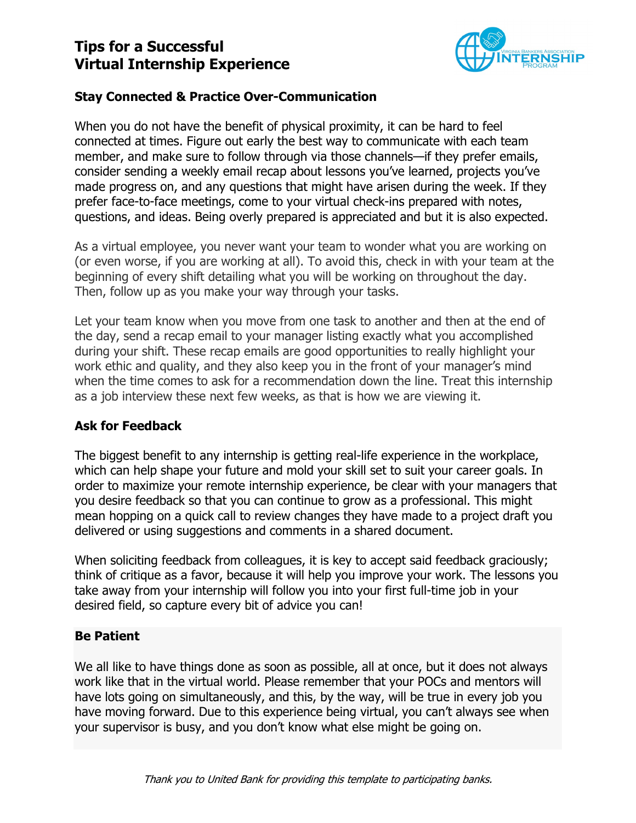# **Tips for a Successful Virtual Internship Experience**



### **Stay Connected & Practice Over-Communication**

When you do not have the benefit of physical proximity, it can be hard to feel connected at times. Figure out early the best way to communicate with each team member, and make sure to follow through via those channels—if they prefer emails, consider sending a weekly email recap about lessons you've learned, projects you've made progress on, and any questions that might have arisen during the week. If they prefer face-to-face meetings, come to your virtual check-ins prepared with notes, questions, and ideas. Being overly prepared is appreciated and but it is also expected.

As a virtual employee, you never want your team to wonder what you are working on (or even worse, if you are working at all). To avoid this, check in with your team at the beginning of every shift detailing what you will be working on throughout the day. Then, follow up as you make your way through your tasks.

Let your team know when you move from one task to another and then at the end of the day, send a recap email to your manager listing exactly what you accomplished during your shift. These recap emails are good opportunities to really highlight your work ethic and quality, and they also keep you in the front of your manager's mind when the time comes to ask for a recommendation down the line. Treat this internship as a job interview these next few weeks, as that is how we are viewing it.

#### **Ask for Feedback**

The biggest benefit to any internship is getting real-life experience in the workplace, which can help shape your future and mold your skill set to suit your career goals. In order to maximize your remote internship experience, be clear with your managers that you desire feedback so that you can continue to grow as a professional. This might mean hopping on a quick call to review changes they have made to a project draft you delivered or using suggestions and comments in a shared document.

When soliciting feedback from colleagues, it is key to accept said feedback graciously; think of critique as a favor, because it will help you improve your work. The lessons you take away from your internship will follow you into your first full-time job in your desired field, so capture every bit of advice you can!

#### **Be Patient**

We all like to have things done as soon as possible, all at once, but it does not always work like that in the virtual world. Please remember that your POCs and mentors will have lots going on simultaneously, and this, by the way, will be true in every job you have moving forward. Due to this experience being virtual, you can't always see when your supervisor is busy, and you don't know what else might be going on.